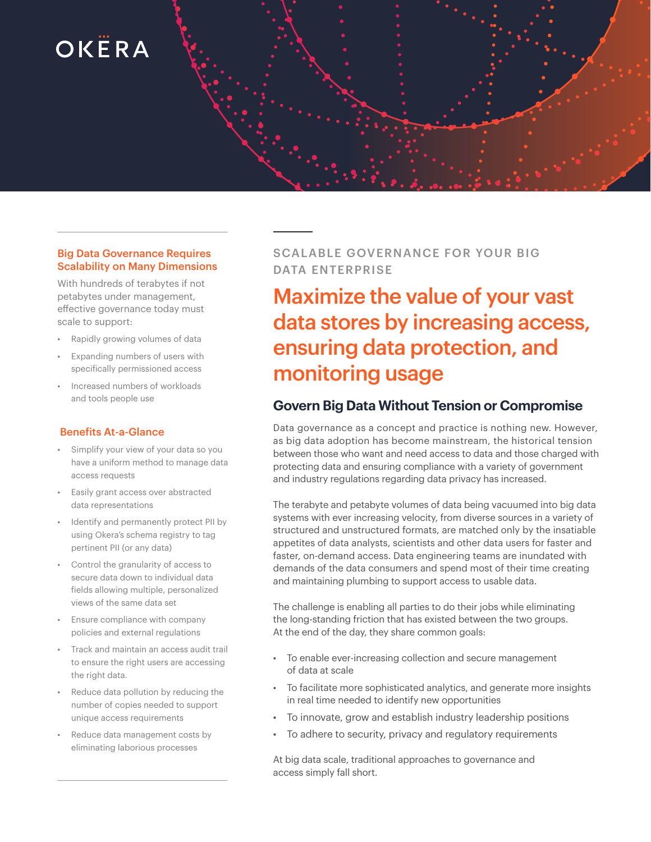# OKËRA

#### Big Data Governance Requires Scalability on Many Dimensions

With hundreds of terabytes if not petabytes under management, effective governance today must scale to support:

- Rapidly growing volumes of data
- Expanding numbers of users with specifically permissioned access
- Increased numbers of workloads and tools people use

#### Benefits At-a-Glance

- Simplify your view of your data so you have a uniform method to manage data access requests
- Easily grant access over abstracted data representations
- Identify and permanently protect PII by using Okera's schema registry to tag pertinent PII (or any data)
- Control the granularity of access to secure data down to individual data fields allowing multiple, personalized views of the same data set
- Ensure compliance with company policies and external regulations
- Track and maintain an access audit trail to ensure the right users are accessing the right data.
- Reduce data pollution by reducing the number of copies needed to support unique access requirements
- Reduce data management costs by eliminating laborious processes

## SCALABLE GOVERNANCE FOR YOUR BIG DATA ENTERPRISE

Maximize the value of your vast data stores by increasing access, ensuring data protection, and monitoring usage

## **Govern Big Data Without Tension or Compromise**

Data governance as a concept and practice is nothing new. However, as big data adoption has become mainstream, the historical tension between those who want and need access to data and those charged with protecting data and ensuring compliance with a variety of government and industry regulations regarding data privacy has increased.

The terabyte and petabyte volumes of data being vacuumed into big data systems with ever increasing velocity, from diverse sources in a variety of structured and unstructured formats, are matched only by the insatiable appetites of data analysts, scientists and other data users for faster and faster, on-demand access. Data engineering teams are inundated with demands of the data consumers and spend most of their time creating and maintaining plumbing to support access to usable data.

The challenge is enabling all parties to do their jobs while eliminating the long-standing friction that has existed between the two groups. At the end of the day, they share common goals:

- To enable ever-increasing collection and secure management of data at scale
- To facilitate more sophisticated analytics, and generate more insights in real time needed to identify new opportunities
- To innovate, grow and establish industry leadership positions
- To adhere to security, privacy and regulatory requirements

At big data scale, traditional approaches to governance and access simply fall short.